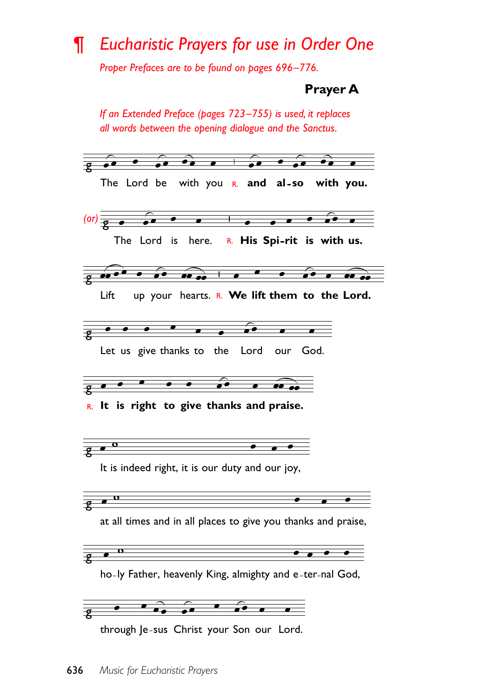## *Eucharistic Prayers for use in Order One* ¶

*Proper Prefaces are to be found on pages 696–776.*

**Prayer A**

*If an Extended Preface (pages 723–755) is used, it replaces all words between the opening dialogue and the Sanctus.* g The Lord be with you **and al so with you.** R. g *(or)*  $\overline{\phantom{a}}$  $\equiv$  $\overline{\bullet}$ The Lord is here. **His Spi rit is with us.** R.  $\bullet$ g  $\bullet\hspace{0.14cm}\bullet$  $\overrightarrow{...}$  $\overline{\phantom{a}}$ Lift up your hearts. R. We lift them to the Lord.  $\bullet$ g  $\bullet$  $\overline{\bullet}$ Let us give thanks to the Lord our God.  $\bullet$  $\bullet\hspace{0.1cm}\bullet\hspace{0.1cm}\bullet\hspace{0.1cm}\bullet\hspace{0.1cm}$  $\overrightarrow{ }$ g **It is right to give thanks and praise.** R. g It is indeed right, it is our duty and our joy,  $\bullet$ <sup>o</sup> ទ<br>8 at all times and in all places to give you thanks and praise,  $\bullet\hspace{1.75mm}\bullet\hspace{1.75mm}\bullet\hspace{1.75mm}$ g ho-ly Father, heavenly King, almighty and e-ter-nal God, g through Je-sus Christ your Son our Lord.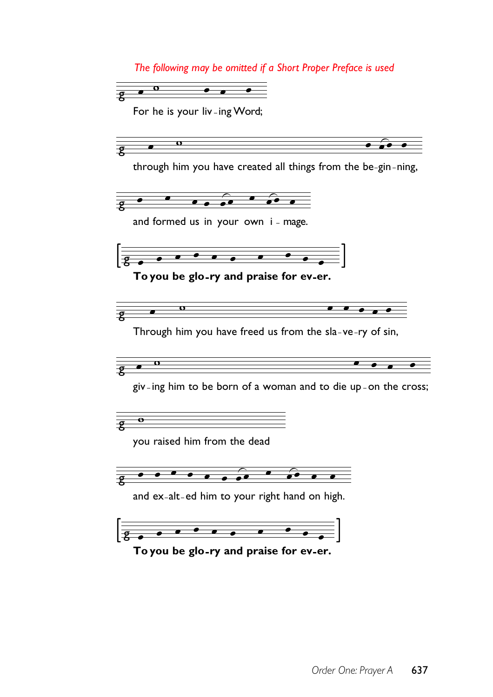*The following may be omitted if a Short Proper Preface is used*



For he is your liv-ing Word;

g through him you have created all things from the be-gin-ning,  $\bullet$   $\bullet$   $\bullet$   $\bullet$   $\bullet$   $\bullet$ g and formed us in your own  $i$  - mage. ट<br>8 **To you be glo ry and praise for ev er.**  $\mathbf{o}$  $\bullet\hspace{1ex} \bullet\hspace{1ex} \bullet\hspace{1ex} \bullet\hspace{1ex} \bullet$  $\overline{\mathbf{p}}$ Through him you have freed us from the sla-ve-ry of sin,  $\mathbf{o}$  $\sqrt{2}$ giv-ing him to be born of a woman and to die up-on the cross;  $\overline{\mathbf{e}}$ g<br>8 you raised him from the dead  $\frac{1}{2}$   $\frac{1}{2}$   $\frac{1}{2}$   $\frac{1}{2}$   $\frac{1}{2}$   $\frac{1}{2}$   $\frac{1}{2}$   $\frac{1}{2}$   $\frac{1}{2}$   $\frac{1}{2}$   $\frac{1}{2}$   $\frac{1}{2}$   $\frac{1}{2}$   $\frac{1}{2}$   $\frac{1}{2}$   $\frac{1}{2}$   $\frac{1}{2}$   $\frac{1}{2}$   $\frac{1}{2}$   $\frac{1}{2}$   $\frac{1}{2}$   $\frac{1}{2}$  and ex-alt-ed him to your right hand on high.  $\frac{1}{\sqrt{1-\frac{1}{\sqrt{1-\frac{1}{\sqrt{1-\frac{1}{\sqrt{1-\frac{1}{\sqrt{1-\frac{1}{\sqrt{1-\frac{1}{\sqrt{1-\frac{1}{\sqrt{1-\frac{1}{\sqrt{1-\frac{1}{\sqrt{1-\frac{1}{\sqrt{1-\frac{1}{\sqrt{1-\frac{1}{\sqrt{1-\frac{1}{\sqrt{1-\frac{1}{\sqrt{1-\frac{1}{\sqrt{1-\frac{1}{\sqrt{1-\frac{1}{\sqrt{1-\frac{1}{\sqrt{1-\frac{1}{\sqrt{1-\frac{1}{\sqrt{1-\frac{1}{\sqrt{1-\frac{1}{\sqrt{1-\frac{1}{\sqrt{1-\frac{1$ g **To you be glo ry and praise for ev er.**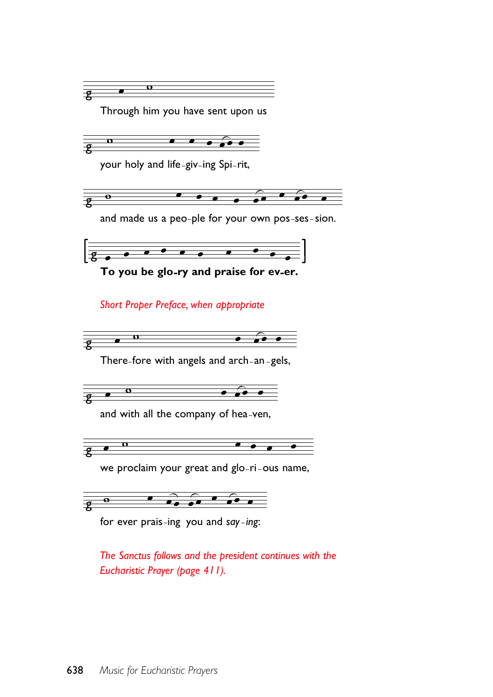

for ever prais ing you and *say ing*:

*The Sanctus follows and the president continues with the Eucharistic Prayer (page 411).*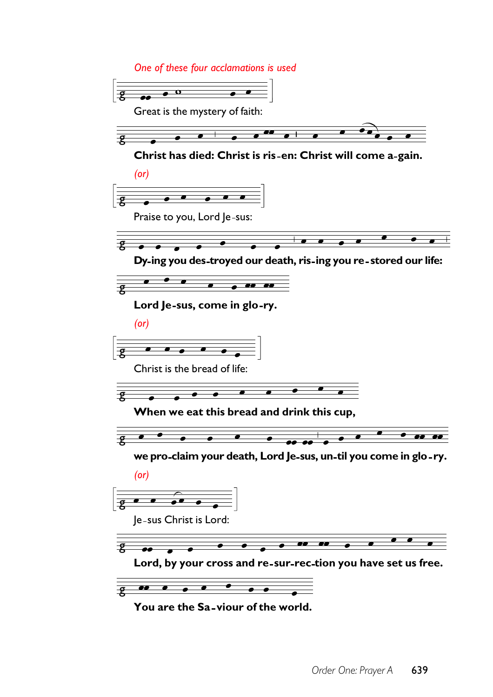*One of these four acclamations is used*



**You are the Sa viour of the world.**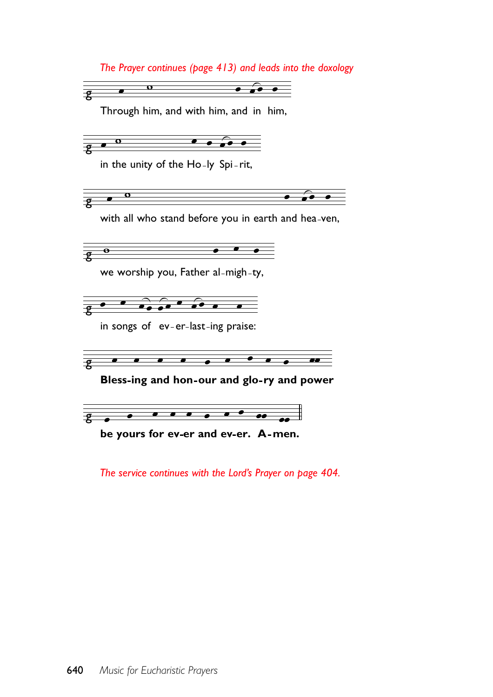*The Prayer continues (page 413) and leads into the doxology*

 $\overline{\mathbf{o}}$  $\rightarrow \bullet$  $\overline{\bullet}$  $\frac{1}{\mathcal{R}}$ 

Through him, and with him, and in him,

 $\frac{1}{8}$   $\frac{0}{8}$  $\bullet\bullet\bullet\bullet\bullet$ 

in the unity of the Ho-ly Spi-rit,



with all who stand before you in earth and hea-ven,



we worship you, Father al-migh-ty,



in songs of ev-er-last-ing praise:



Bless-ing and hon-our and glo-ry and power



**be yours for ev er and ev er. men. A**

*The service continues with the Lord's Prayer on page 404.*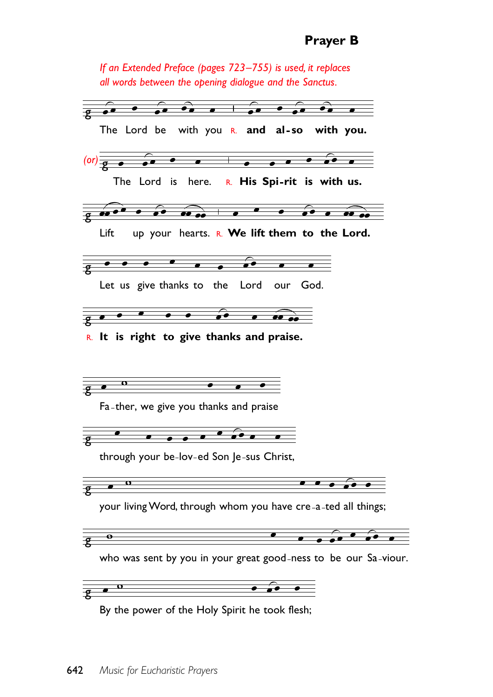*If an Extended Preface (pages 723–755) is used, it replaces all words between the opening dialogue and the Sanctus.*

 $\bullet$   $\bullet$  $\overline{\bullet}$  $\bullet\bullet$  $\bullet$  $\overline{\bullet}$  $\overline{P}$ The Lord be with you **and al so with you.** R.  $\bullet$   $\bullet$   $\bullet$   $\bullet$   $\bullet$   $\bullet$ g *(or)*  $\mathsf{T}$ he Lord is here.  $\mathsf{R}$ . **His Spi-rit is with us.**  $\theta$   $\theta$  $\overline{\phantom{a}}$  $\overline{\bullet}$ g<br>8 Lift up your hearts. R. We lift them to the Lord.  $\bullet$   $\bullet$   $\bullet$ g<br>8 Let us give thanks to the Lord our God.  $\bullet$   $\bullet$   $\bullet$   $\bullet$  $\overleftarrow{\bullet}$ ट<br>8  $\bullet$ **It is right to give thanks and praise.** R. $\bullet$  $\bullet$  $\overline{\mathbf{p}}$  $\bullet$ Fa-ther, we give you thanks and praise  $\overline{g}$ through your be-lov-ed Son Je-sus Christ,  $\bullet$   $\bullet$   $\bullet$ g  $\bullet$ your living Word, through whom you have cre-a-ted all things;  $\bullet$  $\bullet$  $\overline{\mathbf{e}}$  $\overline{P}$ who was sent by you in your great good-ness to be our Sa-viour.  $\overline{\mathbf{o}}$  $\frac{1}{2}$  $\bullet\bullet\bullet\bullet\quad$ By the power of the Holy Spirit he took flesh;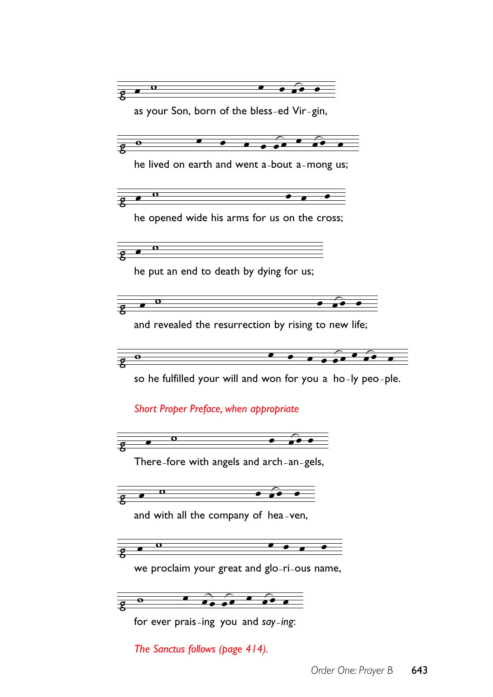

*The Sanctus follows (page 414).*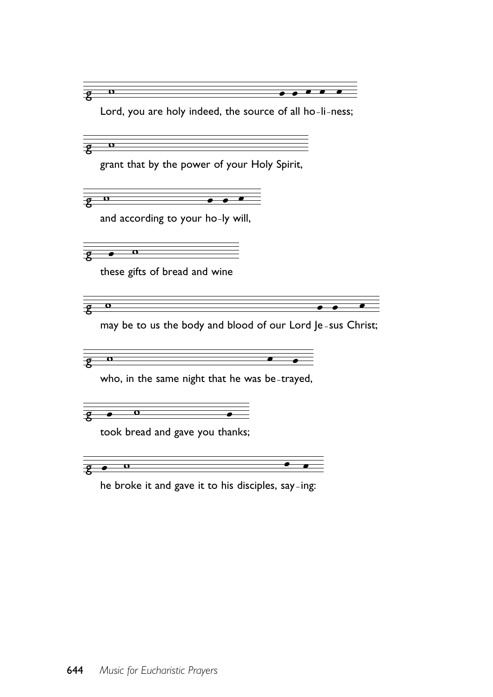$\bullet\hspace{0.1cm} \bullet$  $\overline{\mathcal{Z}}$  $\mathbf{o}$  $\overline{\bullet}$  $\overline{\bullet}$ Lord, you are holy indeed, the source of all ho-li-ness;  $\mathbf{o}$  $\overline{\mathbf{z}}$ grant that by the power of your Holy Spirit,  $\mathbf{o}$  $\mathcal{L}$ and according to your ho-ly will,  $\Omega$  $\overline{\bullet}$  $\overline{\mathcal{L}}$ these gifts of bread and wine  $\mathbf o$  $\overline{\bullet}$  $\overline{\mathbf{z}}$ ∙ may be to us the body and blood of our Lord Je-sus Christ;  $\overline{\mathbf{o}}$  $\bullet$ g who, in the same night that he was be trayed,  $\overline{\mathbf{o}}$  $\mathbf{P}$  $\bullet$ took bread and gave you thanks;

 $\bullet$  $\mathbf{o}$  $\overline{\mathcal{Z}}$ 

he broke it and gave it to his disciples, say ing: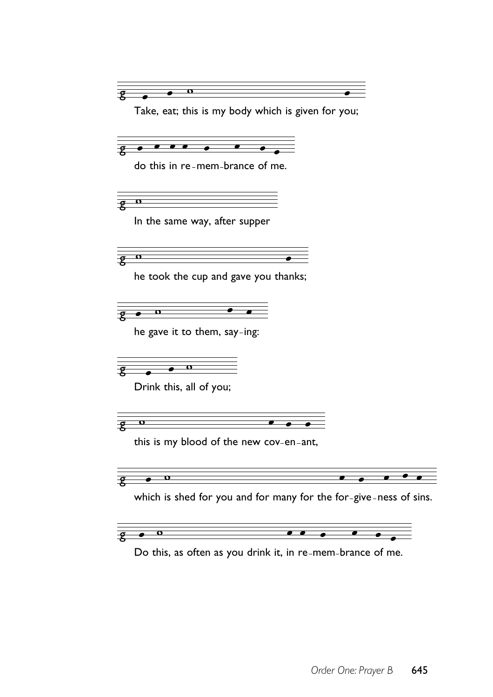ក  $\mathcal{Z}$ Take, eat; this is my body which is given for you;  $\bullet\hspace{0.4mm}\bullet\hspace{0.4mm}\bullet\hspace{0.4mm}\bullet$  $\bullet$  $\mathbf{z}$ do this in re-mem-brance of me.  $\mathbf{o}$  $\overline{\mathbf{z}}$ In the same way, after supper  $\overline{\mathbf{z}}$  $\mathbf{o}$ he took the cup and gave you thanks;  $\overline{\mathbf{o}}$  $\overline{P}$  $\overline{\bullet}$ he gave it to them, say-ing:  $\sqrt{9}$   $\sqrt{0}$ Drink this, all of you;  $\mathbf{o}$  $\bullet$  $\overline{\mathbf{P}}$  $\overline{\bullet}$ this is my blood of the new cov-en-ant,  $\mathbf o$  $\bullet$  $\mathbf{P}$ which is shed for you and for many for the for-give-ness of sins.  $\overline{\mathbf{o}}$  $\bullet$  $\bullet\hspace{0.1cm} \bullet$  $\overline{\bullet}$  $\overline{\bullet}$  $\mathbf{P}$ 

Do this, as often as you drink it, in re-mem-brance of me.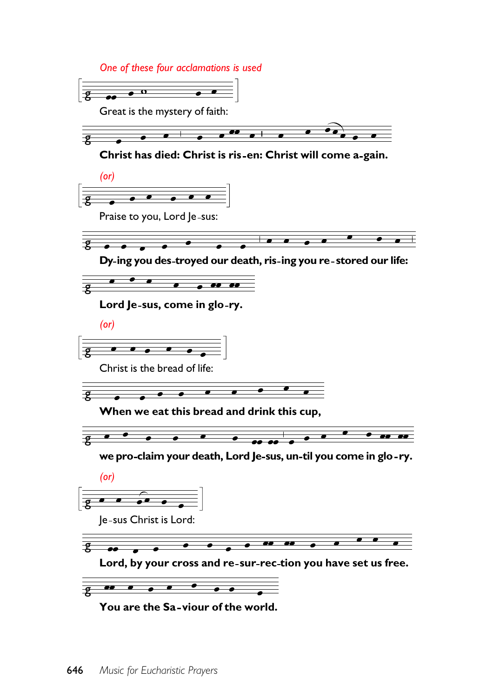*One of these four acclamations is used*





**Christ has died: Christ is ris en: Christ will come a gain.**





**Dy ing you des troyed our death, ris ing you re stored our life:**



**Lord Je sus, come in glo ry.**

*(or)*

 $\frac{1}{2}$  . . . . .

Christ is the bread of life:



**When we eat this bread and drink this cup,**



**we pro claim your death, Lord Je sus, un til you come in glo ry.**



Je sus Christ is Lord:



**Lord, by your cross and re sur rec tion you have set us free.**



**You are the Sa viour of the world.**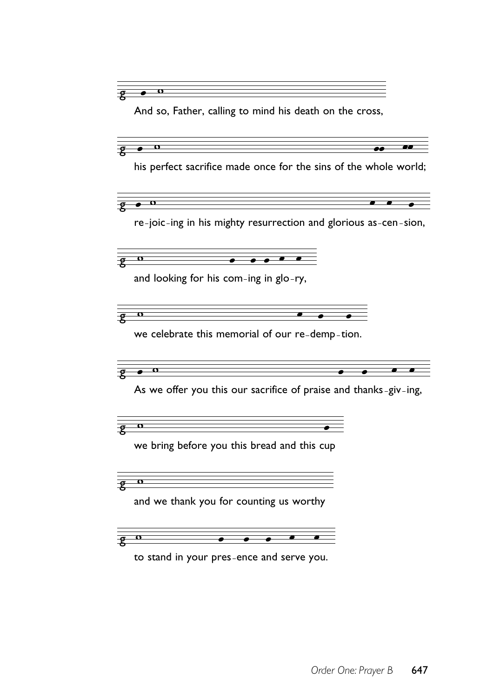$\overline{\mathbf{O}}$  $\mathbf{z}$ And so, Father, calling to mind his death on the cross, g his perfect sacrifice made once for the sins of the whole world;  $\mathbf{o}$  $\overline{P}$ re-joic-ing in his mighty resurrection and glorious as-cen-sion, ទ<br>8  $\mathbf o$ and looking for his com-ing in glo-ry, g  $\mathbf o$ we celebrate this memorial of our re-demp-tion. g  $\mathbf o$ As we offer you this our sacrifice of praise and thanks-giv-ing, g<br>8 we bring before you this bread and this cup ទ<br>8 and we thank you for counting us worthy g to stand in your pres ence and serve you.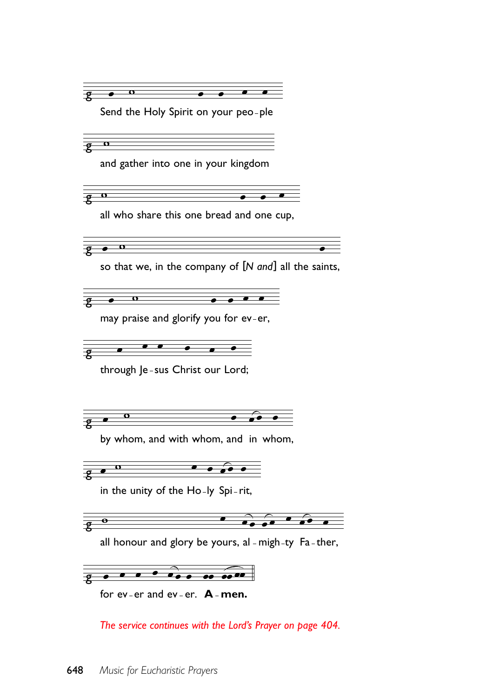

*The service continues with the Lord's Prayer on page 404.*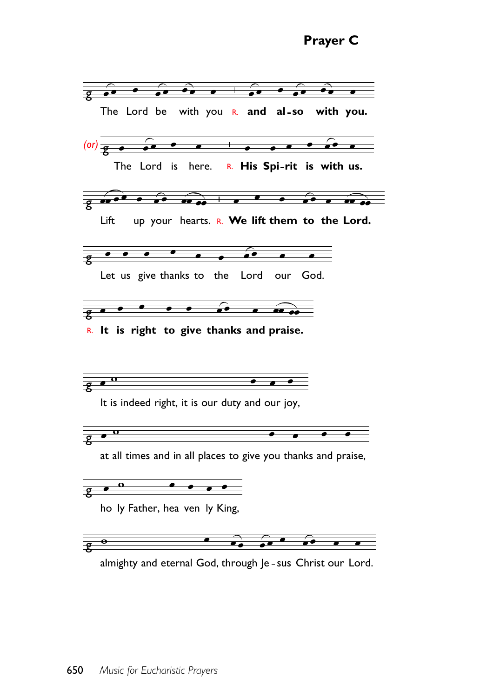

almighty and eternal God, through Je-sus Christ our Lord.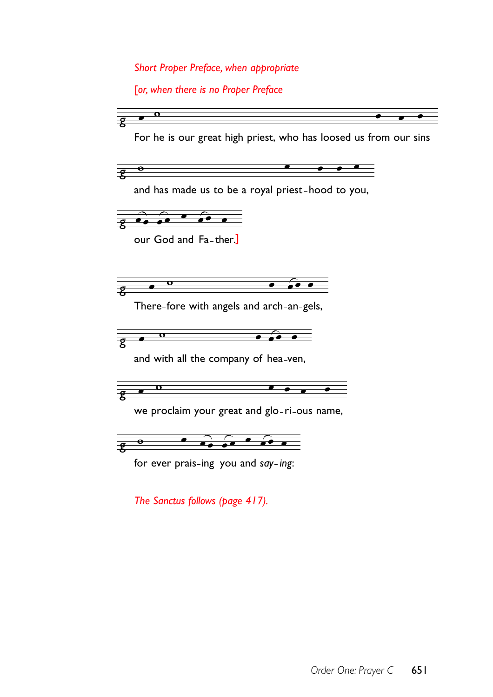*Short Proper Preface, when appropriate*

[*or, when there is no Proper Preface*

5 g For he is our great high priest, who has loosed us from our sins  $\bullet$ g and has made us to be a royal priest-hood to you,  $\theta$   $\theta$   $\theta$   $\theta$  $\overline{\mathbf{p}}$  $\bullet$ our God and Fa-ther.] 5 g There-fore with angels and arch-an-gels,  $\overline{\mathbf{o}}$ g and with all the company of hea-ven,  $\overline{\mathbf{z}}$ we proclaim your great and glo-ri-ous name,  $\overline{\mathbf{e}}$  $\overline{\mathbf{e}}$ for ever prais ing you and *say ing*:

*The Sanctus follows (page 417).*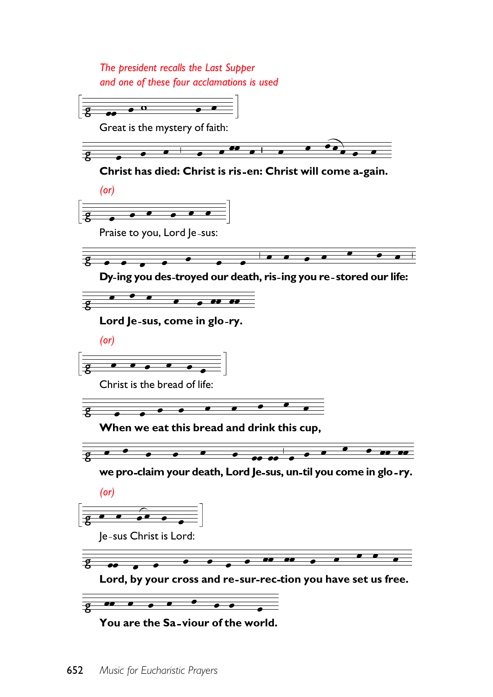*The president recalls the Last Supper and one of these four acclamations is used*

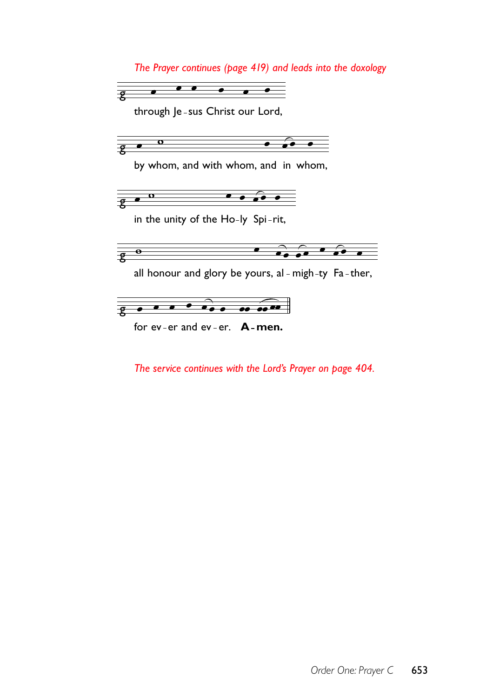*The Prayer continues (page 419) and leads into the doxology*



through Je-sus Christ our Lord,



by whom, and with whom, and in whom,



in the unity of the Ho-ly Spi-rit,



all honour and glory be yours, al - migh-ty  $Fa$ -ther,



for ev-er and ev-er. **A-men.** 

*The service continues with the Lord's Prayer on page 404.*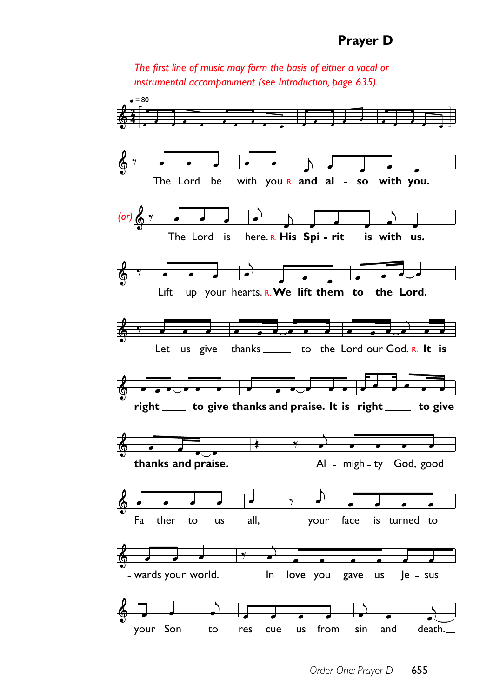*The first line of music may form the basis of either a vocal or instrumental accompaniment (see Introduction, page 635).*

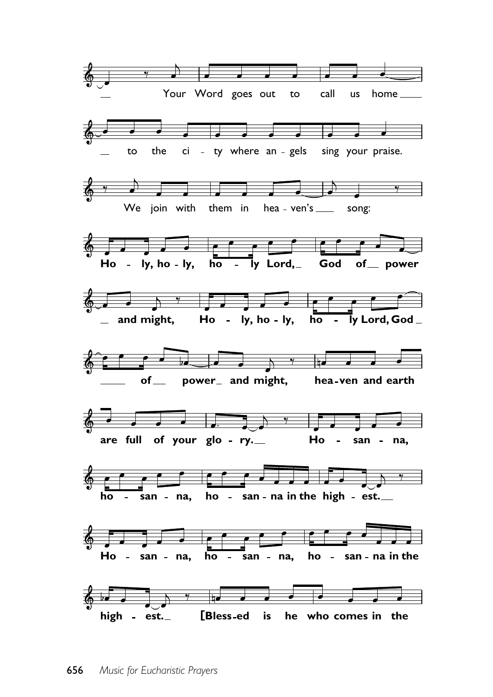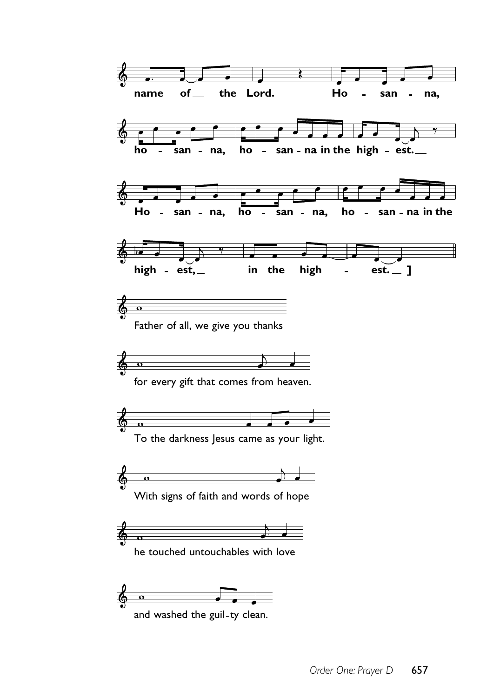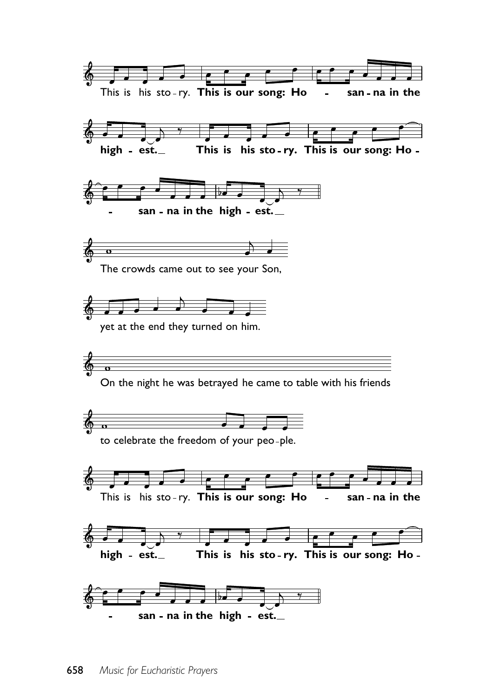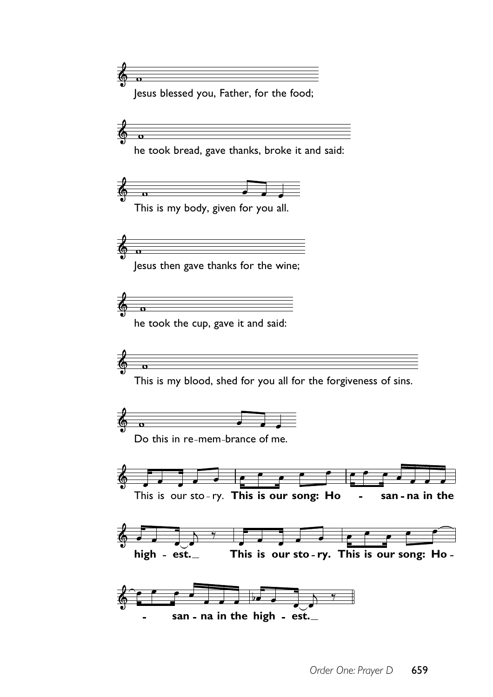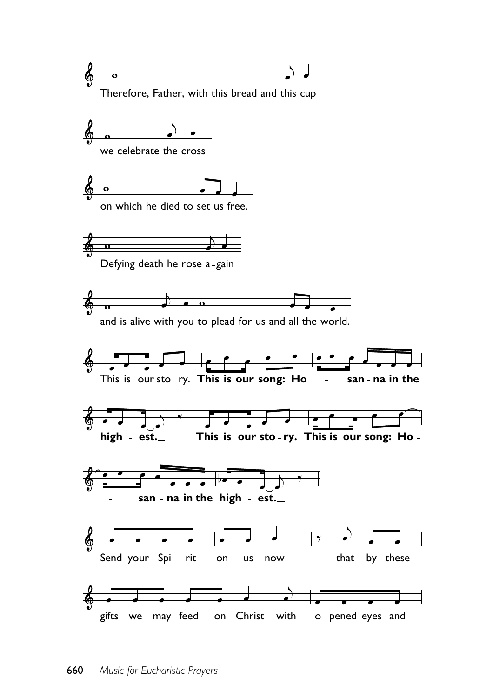

Therefore, Father, with this bread and this cup



we celebrate the cross



on which he died to set us free.



Defying death he rose a-gain



and is alive with you to plead for us and all the world.